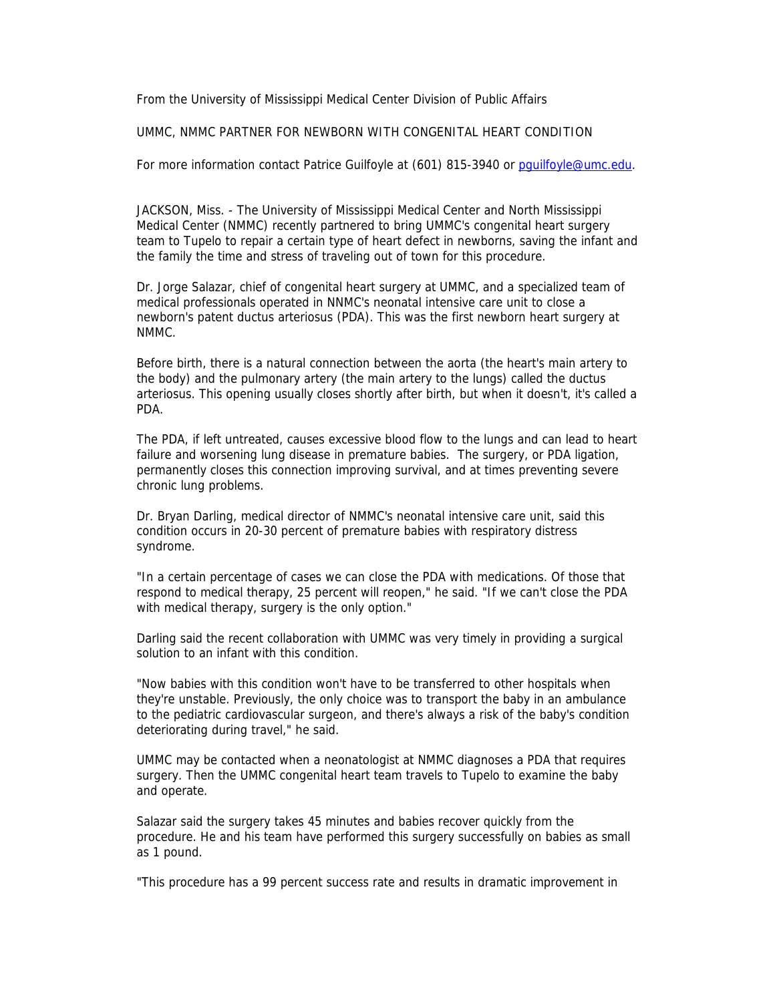From the University of Mississippi Medical Center Division of Public Affairs

## UMMC, NMMC PARTNER FOR NEWBORN WITH CONGENITAL HEART CONDITION

For more information contact Patrice Guilfoyle at (601) 815-3940 or pguilfoyle@umc.edu.

JACKSON, Miss. - The University of Mississippi Medical Center and North Mississippi Medical Center (NMMC) recently partnered to bring UMMC's congenital heart surgery team to Tupelo to repair a certain type of heart defect in newborns, saving the infant and the family the time and stress of traveling out of town for this procedure.

Dr. Jorge Salazar, chief of congenital heart surgery at UMMC, and a specialized team of medical professionals operated in NNMC's neonatal intensive care unit to close a newborn's patent ductus arteriosus (PDA). This was the first newborn heart surgery at NMMC.

Before birth, there is a natural connection between the aorta (the heart's main artery to the body) and the pulmonary artery (the main artery to the lungs) called the ductus arteriosus. This opening usually closes shortly after birth, but when it doesn't, it's called a PDA.

The PDA, if left untreated, causes excessive blood flow to the lungs and can lead to heart failure and worsening lung disease in premature babies. The surgery, or PDA ligation, permanently closes this connection improving survival, and at times preventing severe chronic lung problems.

Dr. Bryan Darling, medical director of NMMC's neonatal intensive care unit, said this condition occurs in 20-30 percent of premature babies with respiratory distress syndrome.

"In a certain percentage of cases we can close the PDA with medications. Of those that respond to medical therapy, 25 percent will reopen," he said. "If we can't close the PDA with medical therapy, surgery is the only option."

Darling said the recent collaboration with UMMC was very timely in providing a surgical solution to an infant with this condition.

"Now babies with this condition won't have to be transferred to other hospitals when they're unstable. Previously, the only choice was to transport the baby in an ambulance to the pediatric cardiovascular surgeon, and there's always a risk of the baby's condition deteriorating during travel," he said.

UMMC may be contacted when a neonatologist at NMMC diagnoses a PDA that requires surgery. Then the UMMC congenital heart team travels to Tupelo to examine the baby and operate.

Salazar said the surgery takes 45 minutes and babies recover quickly from the procedure. He and his team have performed this surgery successfully on babies as small as 1 pound.

"This procedure has a 99 percent success rate and results in dramatic improvement in